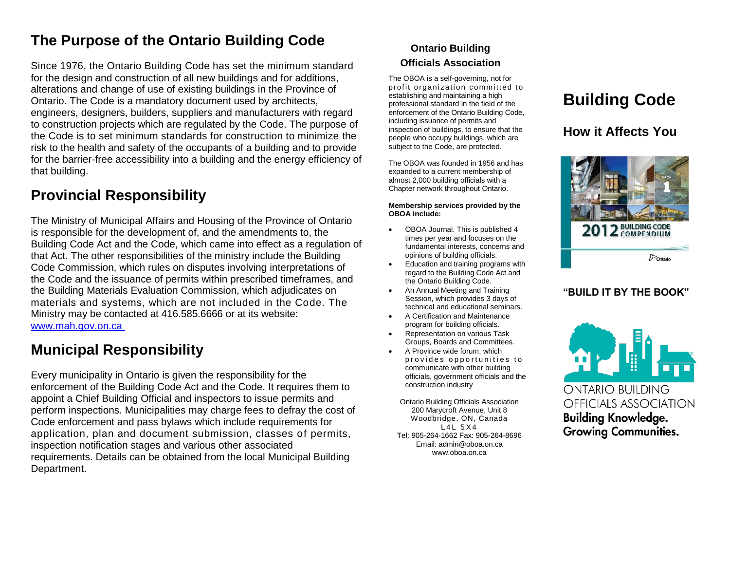# **The Purpose of the Ontario Building Code**

Since 1976, the Ontario Building Code has set the minimum standard for the design and construction of all new buildings and for additions, alterations and change of use of existing buildings in the Province of Ontario. The Code is a mandatory document used by architects, engineers, designers, builders, suppliers and manufacturers with regard to construction projects which are regulated by the Code. The purpose of the Code is to set minimum standards for construction to minimize the risk to the health and safety of the occupants of a building and to provide for the barrier-free accessibility into a building and the energy efficiency of that building.

# **Provincial Responsibility**

The Ministry of Municipal Affairs and Housing of the Province of Ontario is responsible for the development of, and the amendments to, the Building Code Act and the Code, which came into effect as a regulation of that Act. The other responsibilities of the ministry include the Building Code Commission, which rules on disputes involving interpretations of the Code and the issuance of permits within prescribed timeframes, and the Building Materials Evaluation Commission, which adjudicates on materials and systems, which are not included in the Code. The Ministry may be contacted at 416.585.6666 or at its website: www.mah.gov.on.ca

# **Municipal Responsibility**

Every municipality in Ontario is given the responsibility for the enforcement of the Building Code Act and the Code. It requires them to appoint a Chief Building Official and inspectors to issue permits and perform inspections. Municipalities may charge fees to defray the cost of Code enforcement and pass bylaws which include requirements for application, plan and document submission, classes of permits, inspection notification stages and various other associated requirements. Details can be obtained from the local Municipal Building Department.

### **Ontario Building Officials Association**

The OBOA is a self-governing, not for profit organization committed to establishing and maintaining a high professional standard in the field of the enforcement of the Ontario Building Code, including issuance of permits and inspection of buildings, to ensure that the people who occupy buildings, which are subject to the Code, are protected.

The OBOA was founded in 1956 and has expanded to a current membership of almost 2,000 building officials with a Chapter network throughout Ontario.

#### **Membership services provided by the OBOA include:**

- OBOA Journal. This is published 4 times per year and focuses on the fundamental interests, concerns and opinions of building officials.
- Education and training programs with regard to the Building Code Act and the Ontario Building Code.
- An Annual Meeting and Training Session, which provides 3 days of technical and educational seminars.
- A Certification and Maintenance program for building officials.
- Representation on various Task Groups, Boards and Committees.
- A Province wide forum, which provides opportunities to communicate with other building officials, government officials and the construction industry

Ontario Building Officials Association 200 Marycroft Avenue, Unit 8 Woodbridge, ON, Canada  $L4L$  5 X 4 Tel: 905-264-1662 Fax: 905-264-8696 Email: admin@oboa.on.ca www.oboa.on.ca

# **Building Code**

### **How it Affects You**



### **"BUILD IT BY THE BOOK"**